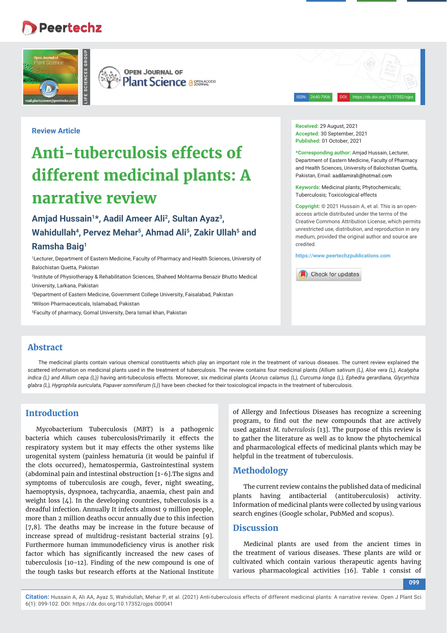## Peertechz



**OPEN JOURNAL OF Plant Science a SEERACCESS** 

ISSN: 2640-7906 DOI: https://dx.doi.org/10.17352/ojps

**Review Article** 

# **Anti-tuberculosis effects of different medicinal plants: A narrative review**

## **Amjad Hussain1\*, Aadil Ameer Ali2, Sultan Ayaz3,**  Wahidullah<sup>4</sup>, Pervez Mehar<sup>5</sup>, Ahmad Ali<sup>5</sup>, Zakir Ullah<sup>5</sup> and **Ramsha Baig1**

1 Lecturer, Department of Eastern Medicine, Faculty of Pharmacy and Health Sciences, University of Balochistan Quetta, Pakistan

2 Institute of Physiotherapy & Rehabilitation Sciences, Shaheed Mohtarma Benazir Bhutto Medical University, Larkana, Pakistan

3 Department of Eastern Medicine, Government College University, Faisalabad, Pakistan

4 Wilson Pharmaceuticals, Islamabad, Pakistan

5 Faculty of pharmacy, Gomal University, Dera Ismail khan, Pakistan

**Received:** 29 August, 2021 **Accepted:** 30 September, 2021 **Published:** 01 October, 2021

**\*Corresponding author:** Amjad Hussain, Lecturer, Department of Eastern Medicine, Faculty of Pharmacy and Health Sciences, University of Balochistan Quetta, Pakistan, Email: aadilamirali@hotmail.com

**Keywords:** Medicinal plants; Phytochemicals; Tuberculosis; Toxicological effects

**Copyright:** © 2021 Hussain A, et al. This is an openaccess article distributed under the terms of the Creative Commons Attribution License, which permits unrestricted use, distribution, and reproduction in any medium, provided the original author and source are credited.

**https://www.peertechzpublications.com**

Check for updates

### **Abstract**

The medicinal plants contain various chemical constituents which play an important role in the treatment of various diseases. The current review explained the scattered information on medicinal plants used in the treatment of tuberculosis. The review contains four medicinal plants *(Allium sativum (L), Aloe vera (L), Acalypha indica (L) and Allium cepa (L))* having anti-tubeculosis effects. Moreover, six medicinal plants (*Acorus calamus (L), Curcuma longa (L), Ephedra gerardiana, Glycyrrhiza glabra (L), Hygrophila auriculata, Papaver somniferum (L)*) have been checked for their toxicological impacts in the treatment of tuberculosis.

## **Introduction**

Mycobacterium Tuberculosis (MBT) is a pathogenic bacteria which causes tuberculosisPrimarily it effects the respiratory system but it may effects the other systems like urogenital system (painless hematuria (it would be painful if the clots occurred), hematospermia, Gastrointestinal system (abdominal pain and intestinal obstruction [1-6].The signs and symptoms of tuberculosis are cough, fever, night sweating, haemoptysis, dyspnoea, tachycardia, anaemia, chest pain and weight loss [4]. In the developing countries, tuberculosis is a dreadful infection. Annually It infects almost 9 million people, more than 2 million deaths occur annually due to this infection [7,8]. The deaths may be increase in the future because of increase spread of multidrug-resistant bacterial strains [9]. Furthermore human immunodeficiency virus is another risk factor which has significantly increased the new cases of tuberculosis [10-12]. Finding of the new compound is one of the tough tasks but research efforts at the National Institute

of Allergy and Infectious Diseases has recognize a screening program, to find out the new compounds that are actively used against *M. tuberculosis* [13]. The purpose of this review is to gather the literature as well as to know the phytochemical and pharmacological effects of medicinal plants which may be helpful in the treatment of tuberculosis.

### **Methodology**

The current review contains the published data of medicinal plants having antibacterial (antituberculosis) activity. Information of medicinal plants were collected by using various search engines (Google scholar, PubMed and scopus).

#### **Discussion**

Medicinal plants are used from the ancient times in the treatment of various diseases. These plants are wild or cultivated which contain various therapeutic agents having various pharmacological activities [16]. Table 1 consist of

**099**

**Citation:** Hussain A, Ali AA, Ayaz S, Wahidullah, Mehar P, et al. (2021) Anti-tuberculosis effects of different medicinal plants: A narrative review. Open J Plant Sci 6(1): 099-102. DOI: https://dx.doi.org/10.17352/ojps.000041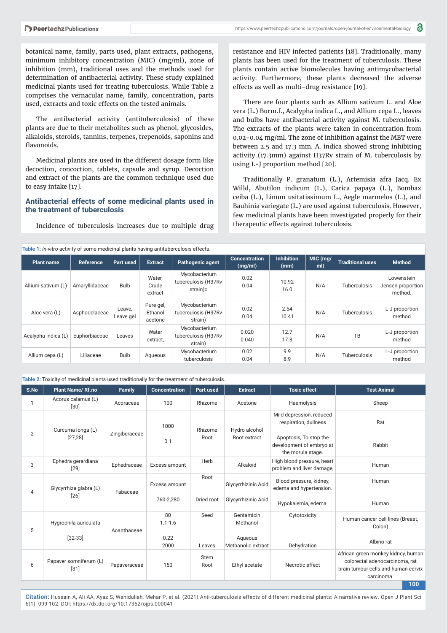botanical name, family, parts used, plant extracts, pathogens, minimum inhibitory concentration (MIC) (mg/ml), zone of inhibition (mm), traditional uses and the methods used for determination of antibacterial activity. These study explained medicinal plants used for treating tuberculosis. While Table 2 comprises the vernacular name, family, concentration, parts used, extracts and toxic effects on the tested animals.

The antibacterial activity (antituberculosis) of these plants are due to their metabolites such as phenol, glycosides, alkaloids, steroids, tannins, terpenes, trepenoids, saponins and flavonoids.

Medicinal plants are used in the different dosage form like decoction, concoction, tablets, capsule and syrup. Decoction and extract of the plants are the common technique used due to easy intake [17].

#### **Antibacterial effects of some medicinal plants used in the treatment of tuberculosis**

Incidence of tuberculosis increases due to multiple drug

resistance and HIV infected patients [18]. Traditionally, many plants has been used for the treatment of tuberculosis. These plants contain active biomolecules having antimycobacterial activity. Furthermore, these plants decreased the adverse effects as well as multi-drug resistance [19].

There are four plants such as Allium sativum L. and Aloe vera (L.) Burm.f., Acalypha indica L., and Allium cepa L., leaves and bulbs have antibacterial activity against M. tuberculosis. The extracts of the plants were taken in concentration from 0.02-0.04 mg/ml. The zone of inhibition against the MBT were between 2.5 and 17.3 mm. A. indica showed strong inhibiting activity (17.3mm) against H37Rv strain of M. tuberculosis by using L-J proportion method [20].

Traditionally P. granatum (L.), Artemisia afra Jacq. Ex Willd, Abutilon indicum (L.), Carica papaya (L.), Bombax ceiba (L.), Linum usitatissimum L., Aegle marmelos (L.), and Bauhinia variegate (L.) are used against tuberculosis. However, few medicinal plants have been investigated properly for their therapeutic effects against tuberculosis.

|  | Table 1: In-vitro activity of some medicinal plants having antituberculosis effects. |
|--|--------------------------------------------------------------------------------------|
|--|--------------------------------------------------------------------------------------|

| www.arminited.com/news/communication/arminited/internation-arminited-arminited-arminited-arminited- |                |                     |                                 |                                                  |                                       |                           |                     |                          |                                            |
|-----------------------------------------------------------------------------------------------------|----------------|---------------------|---------------------------------|--------------------------------------------------|---------------------------------------|---------------------------|---------------------|--------------------------|--------------------------------------------|
| Plant name                                                                                          | Reference      | Part used           | <b>Extract</b>                  | <b>Pathogenic agent</b>                          | <b>Concentration</b><br>(mg/ml)       | <b>Inhibition</b><br>(mm) | MIC (mg/<br>ml)     | <b>Traditional uses</b>  | <b>Method</b>                              |
| Allium sativum (L)                                                                                  | Amaryllidaceae | <b>Bulb</b>         | Water,<br>Crude<br>extract      | Mycobacterium<br>tuberculosis (H37Rv<br>strain)c | 0.02<br>0.04                          | 10.92<br>16.0             | N/A                 | Tuberculosis             | Lowenstein<br>Jensen proportion<br>method. |
| Aloe vera (L)                                                                                       | Asphodelaceae  | Leave,<br>Leave gel | Pure gel,<br>Ethanol<br>acetone | Mycobacterium<br>tuberculosis (H37Rv<br>strain)  | 0.02<br>2.54<br>N/A<br>0.04<br>10.41  |                           | <b>Tuberculosis</b> | L-J proportion<br>method |                                            |
| Acalypha indica (L)                                                                                 | Euphorbiaceae  | Leaves              | Water<br>extract,               | Mycobacterium<br>tuberculosis (H37Rv<br>strain)  | 12.7<br>0.020<br>N/A<br>17.3<br>0.040 |                           | TB                  | L-J proportion<br>method |                                            |
| Allium cepa (L)                                                                                     | Liliaceae      | <b>Bulb</b>         | Aqueous                         | Mycobacterium<br>tuberculosis                    | 0.02<br>0.04                          | 9.9<br>8.9                | N/A                 | <b>Tuberculosis</b>      | L-J proportion<br>method                   |

**Table 2:** Toxicity of medicinal plants used traditionally for the treatment of tuberculosis.

|                | <b>Table 2.</b> TOXICITY OF HIGHCHIGH PIGHTS GOOD thanhollarly for the treatment of table calogies. |               |                                   |                     |                                                         |                                                                                                                              |                                                                                                                                  |  |  |  |
|----------------|-----------------------------------------------------------------------------------------------------|---------------|-----------------------------------|---------------------|---------------------------------------------------------|------------------------------------------------------------------------------------------------------------------------------|----------------------------------------------------------------------------------------------------------------------------------|--|--|--|
| S.No           | <b>Plant Name/ Rf.no</b>                                                                            | Family        | <b>Concentration</b>              | Part used           | <b>Extract</b>                                          | <b>Toxic effect</b>                                                                                                          | <b>Test Animal</b>                                                                                                               |  |  |  |
|                | Acorus calamus (L)<br>$[30]$                                                                        | Acoraceae     | 100                               | Rhizome             | Acetone                                                 | Haemolysis                                                                                                                   | Sheep                                                                                                                            |  |  |  |
| $\overline{2}$ | Curcuma longa (L)<br>[27, 28]                                                                       | Zingiberaceae | 1000<br>0.1                       | Rhizome<br>Root     | Hydro alcohol<br>Root extract                           | Mild depression, reduced<br>respiration, dullness<br>Apoptosis, To stop the<br>development of embryo at<br>the morula stage. | Rat<br>Rabbit                                                                                                                    |  |  |  |
| 3              | Ephedra gerardiana<br>[29]                                                                          | Ephedraceae   | Excess amount                     | Herb<br>Alkaloid    |                                                         | High blood pressure, heart<br>problem and liver damage,                                                                      | Human                                                                                                                            |  |  |  |
| 4              | Glycyrrhiza glabra (L)<br>[26]                                                                      | Fabaceae      | Excess amount<br>760-2,280        | Root<br>Dried root  | Glycyrrhizinic Acid<br>Glycyrrhizinic Acid              | Blood pressure, kidney,<br>edema and hypertension.<br>Hypokalemia, edema.                                                    | Human<br>Human                                                                                                                   |  |  |  |
| 5              | Hygrophila auriculata<br>$[32-33]$                                                                  | Acanthaceae   | 80<br>$1.1 - 1.6$<br>0.22<br>2000 | Seed<br>Leaves      | Gentamicin<br>Methanol<br>Aqueous<br>Methanolic extract | Cytotoxicity<br>Dehydration                                                                                                  | Human cancer cell lines (Breast,<br>Colon)<br>Albino rat                                                                         |  |  |  |
| 6              | Papaver somniferum (L)<br>$[31]$                                                                    | Papaveraceae  | 150                               | <b>Stem</b><br>Root | Ethyl acetate                                           | Necrotic effect                                                                                                              | African green monkey kidney, human<br>colorectal adenocarcinoma, rat<br>brain tumour cells and human cervix<br>carcinoma.<br>100 |  |  |  |

**Citation:** Hussain A, Ali AA, Ayaz S, Wahidullah, Mehar P, et al. (2021) Anti-tuberculosis effects of different medicinal plants: A narrative review. Open J Plant Sci 6(1): 099-102. DOI: https://dx.doi.org/10.17352/ojps.000041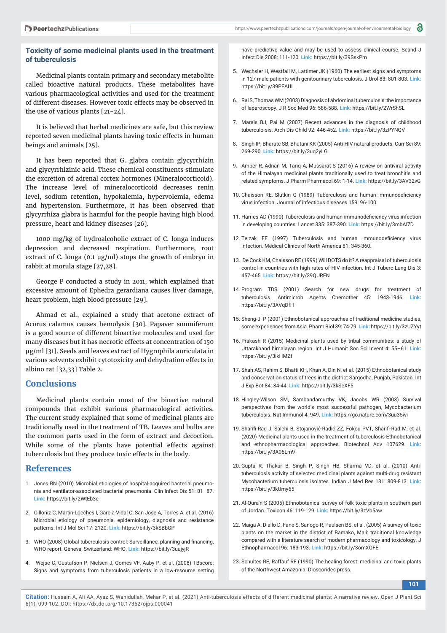#### **Toxicity of some medicinal plants used in the treatment of tuberculosis**

Medicinal plants contain primary and secondary metabolite called bioactive natural products. These metabolites have various pharmacological activities and used for the treatment of different diseases. However toxic effects may be observed in the use of various plants [21-24].

It is believed that herbal medicines are safe, but this review reported seven medicinal plants having toxic effects in human beings and animals [25].

It has been reported that G. glabra contain glycyrrhizin and glycyrrhizinic acid. These chemical constituents stimulate the excretion of adrenal cortex hormones (Mineralocorticoid). The increase level of mineralocorticoid decreases renin level, sodium retention, hypokalemia, hypervolemia, edema and hypertension. Furthermore, it has been observed that glycyrrhiza glabra is harmful for the people having high blood pressure, heart and kidney diseases [26].

1000 mg/kg of hydroalcoholic extract of C. longa induces depression and decreased respiration. Furthermore, root extract of C. longa (0.1 μg/ml) stops the growth of embryo in rabbit at morula stage [27,28].

George P conducted a study in 2011, which explained that excessive amount of Ephedra gerardiana causes liver damage, heart problem, high blood pressure [29].

Ahmad et al., explained a study that acetone extract of Acorus calamus causes hemolysis [30]. Papaver somniferum is a good source of different bioactive molecules and used for many diseases but it has necrotic effects at concentration of 150 μg/ml [31]. Seeds and leaves extract of Hygrophila auriculata in various solvents exhibit cytotoxicity and dehydration effects in albino rat [32,33] Table 2.

#### **Conclusions**

Medicinal plants contain most of the bioactive natural compounds that exhibit various pharmacological activities. The current study explained that some of medicinal plants are traditionally used in the treatment of TB. Leaves and bulbs are the common parts used in the form of extract and decoction. While some of the plants have potential effects against tuberculosis but they produce toxic effects in the body.

#### **References**

- 1. Jones RN (2010) Microbial etiologies of hospital-acquired bacterial pneumonia and ventilator-associated bacterial pneumonia. Clin Infect Dis 51: 81–87. **Link:** https://bit.ly/2WtEb3e
- 2. Cilloniz C, Martin-Loeches I, Garcia-Vidal C, San Jose A, Torres A, et al. (2016) Microbial etiology of pneumonia, epidemiology, diagnosis and resistance patterns. Int J Mol Sci 17: 2120. **Link:** https://bit.ly/3kSBbGP
- 3. WHO (2008) Global tuberculosis control: Surveillance, planning and financing, WHO report. Geneva, Switzerland: WHO. **Link:** https://bit.ly/3uujyjR
- 4. Wejse C, Gustafson P, Nielsen J, Gomes VF, Aaby P, et al. (2008) TBscore: Signs and symptoms from tuberculosis patients in a low-resource setting

have predictive value and may be used to assess clinical course. Scand J Infect Dis 2008: 111-120. **Link:** https://bit.ly/39SskPm

- 5. Wechsler H, Westfall M, Lattimer JK (1960) The earliest signs and symptoms in 127 male patients with genitourinary tuberculosis. J Urol 83: 801-803. **Link:** https://bit.ly/39PFAUL
- 6. Rai S, Thomas WM (2003) Diagnosis of abdominal tuberculosis: the importance of laparoscopy. J R Soc Med 96: 586-588. **Link:** https://bit.ly/2WrShSL
- 7. Marais BJ, Pai M (2007) Recent advances in the diagnosis of childhood tuberculo-sis. Arch Dis Child 92: 446-452. **Link:** https://bit.ly/3zPYNQV
- 8. Singh IP, Bharate SB, Bhutani KK (2005) Anti-HIV natural products. Curr Sci 89: 269-290. **Link:** https://bit.ly/3uq2yLG
- 9. Amber R, Adnan M, Tariq A, Mussarat S (2016) A review on antiviral activity of the Himalayan medicinal plants traditionally used to treat bronchitis and related symptoms. J Pharm Pharmacol 69: 1-14. **Link:** https://bit.ly/3AV32vG
- 10. Chaisson RE, Slutkin G (1989) Tuberculosis and human immunodeficiency virus infection. Journal of infectious diseases 159: 96-100.
- 11. Harries AD (1990) Tuberculosis and human immunodeficiency virus infection in developing countries. Lancet 335: 387-390. **Link:** https://bit.ly/3mbAl7D
- 12. Telzak EE (1997) Tuberculosis and human immunodeficiency virus infection. Medical Clinics of North America 81: 345-360.
- 13. De Cock KM, Chaisson RE (1999) Will DOTS do it? A reappraisal of tuberculosis control in countries with high rates of HIV infection. Int J Tuberc Lung Dis 3: 457-465. **Link:** https://bit.ly/39QUREN
- 14. Program TDS (2001) Search for new drugs for treatment of tuberculosis. Antimicrob Agents Chemother 45: 1943-1946. **Link:** https://bit.ly/3AVqDfH
- 15. Sheng-Ji P (2001) Ethnobotanical approaches of traditional medicine studies, some experiences from Asia. Pharm Biol 39: 74-79. **Link:** https://bit.ly/3zUZYyt
- 16. Prakash R (2015) Medicinal plants used by tribal communities: a study of Uttarakhand himalayan region. Int J Humanit Soc Sci Invent 4: 55–61. **Link:** https://bit.ly/3ikHMZf
- 17. Shah AS, Rahim S, Bhatti KH, Khan A, Din N, et al. (2015) Ethnobotanical study and conservation status of trees in the district Sargodha, Punjab, Pakistan. Int J Exp Bot 84: 34-44. **Link:** https://bit.ly/3kSeXF5
- 18. Hingley-Wilson SM, Sambandamurthy VK, Jacobs WR (2003) Survival perspectives from the world's most successful pathogen, Mycobacterium tuberculosis. Nat Immunol 4: 949. **Link:** https://go.nature.com/3uu35wi
- 19. Sharifi -Rad J, Salehi B, Stojanović-Radić ZZ, Fokou PVT, Sharifi -Rad M, et al. (2020) Medicinal plants used in the treatment of tuberculosis-Ethnobotanical and ethnopharmacological approaches. Biotechnol Adv 107629. **Link:** https://bit.ly/3A05Lm9
- 20. Gupta R, Thakur B, Singh P, Singh HB, Sharma VD, et al. (2010) Antituberculosis activity of selected medicinal plants against multi-drug resistant Mycobacterium tuberculosis isolates. Indian J Med Res 131: 809-813. **Link:** https://bit.ly/3kUmy65
- 21. Al-Qura'n S (2005) Ethnobotanical survey of folk toxic plants in southern part of Jordan. Toxicon 46: 119-129. **Link:** https://bit.ly/3zVb5aw
- 22. Maiga A, Diallo D, Fane S, Sanogo R, Paulsen BS, et al. (2005) A survey of toxic plants on the market in the district of Bamako, Mali: traditional knowledge compared with a literature search of modern pharmacology and toxicology. J Ethnopharmacol 96: 183-193. **Link:** https://bit.ly/3omXOFE
- 23. Schultes RE, Raffauf RF (1990) The healing forest: medicinal and toxic plants of the Northwest Amazonia. Dioscorides press.

**101**

**Citation:** Hussain A, Ali AA, Ayaz S, Wahidullah, Mehar P, et al. (2021) Anti-tuberculosis effects of different medicinal plants: A narrative review. Open J Plant Sci 6(1): 099-102. DOI: https://dx.doi.org/10.17352/ojps.000041